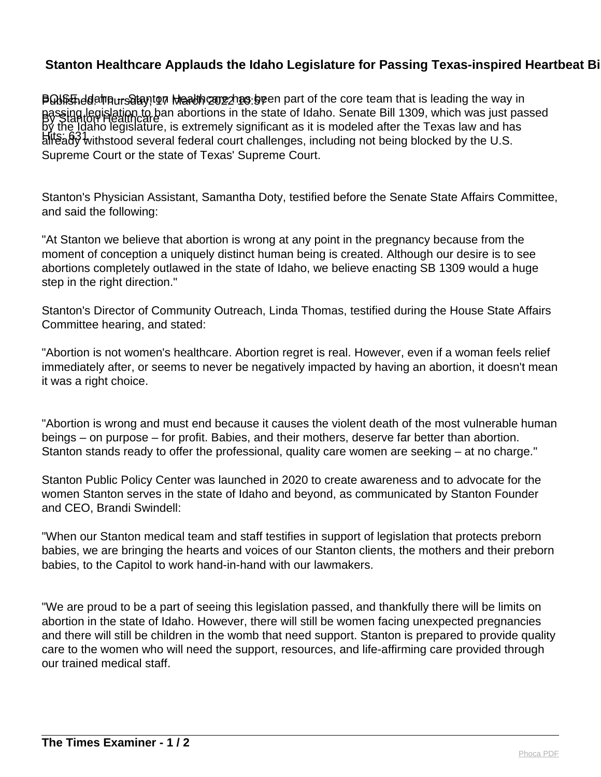## **Stanton Healthcare Applauds the Idaho Legislature for Passing Texas-inspired Heartbeat Bill to Ban Abortion St**

**POISEnddeinnursdtay, ton Maadhcarezhas be**en part of the core team that is leading the way in By Stanton Healthcare passing legislation to ban abortions in the state of Idaho. Senate Bill 1309, which was just passed Hits: 631 already withstood several federal court challenges, including not being blocked by the U.S. by the Idaho legislature, is extremely significant as it is modeled after the Texas law and has Supreme Court or the state of Texas' Supreme Court.

Stanton's Physician Assistant, Samantha Doty, testified before the Senate State Affairs Committee, and said the following:

"At Stanton we believe that abortion is wrong at any point in the pregnancy because from the moment of conception a uniquely distinct human being is created. Although our desire is to see abortions completely outlawed in the state of Idaho, we believe enacting SB 1309 would a huge step in the right direction."

Stanton's Director of Community Outreach, Linda Thomas, testified during the House State Affairs Committee hearing, and stated:

"Abortion is not women's healthcare. Abortion regret is real. However, even if a woman feels relief immediately after, or seems to never be negatively impacted by having an abortion, it doesn't mean it was a right choice.

"Abortion is wrong and must end because it causes the violent death of the most vulnerable human beings – on purpose – for profit. Babies, and their mothers, deserve far better than abortion. Stanton stands ready to offer the professional, quality care women are seeking – at no charge."

Stanton Public Policy Center was launched in 2020 to create awareness and to advocate for the women Stanton serves in the state of Idaho and beyond, as communicated by Stanton Founder and CEO, Brandi Swindell:

"When our Stanton medical team and staff testifies in support of legislation that protects preborn babies, we are bringing the hearts and voices of our Stanton clients, the mothers and their preborn babies, to the Capitol to work hand-in-hand with our lawmakers.

"We are proud to be a part of seeing this legislation passed, and thankfully there will be limits on abortion in the state of Idaho. However, there will still be women facing unexpected pregnancies and there will still be children in the womb that need support. Stanton is prepared to provide quality care to the women who will need the support, resources, and life-affirming care provided through our trained medical staff.